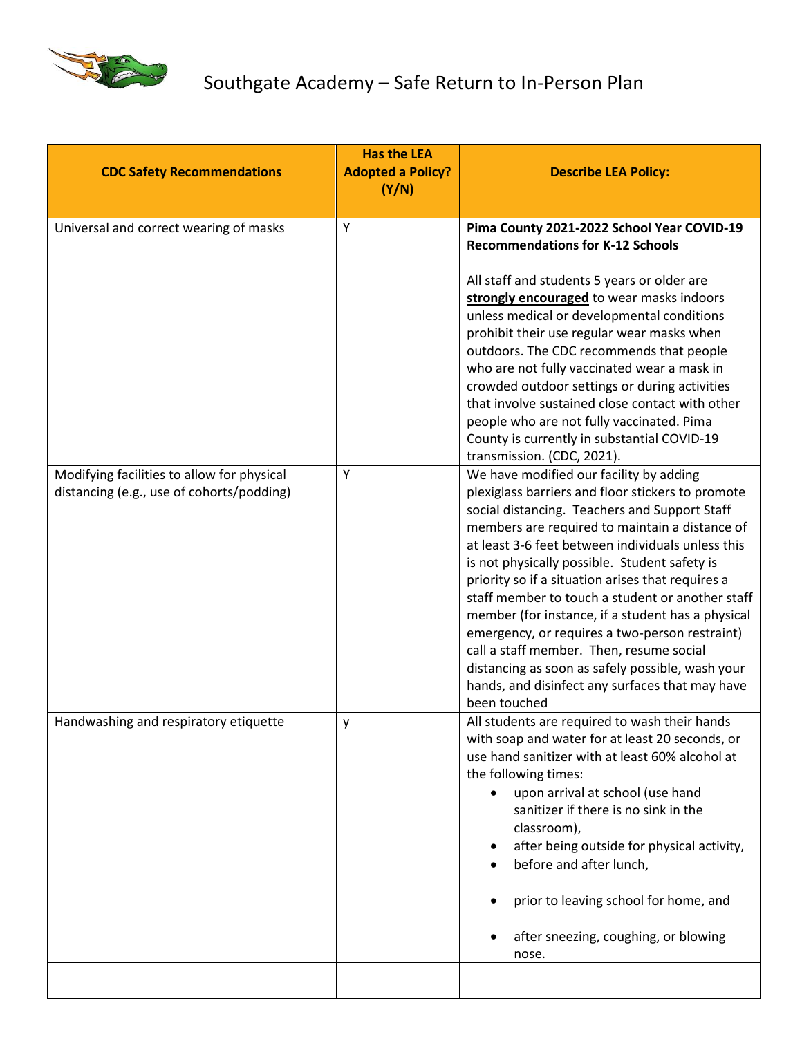

## Southgate Academy – Safe Return to In-Person Plan

| <b>CDC Safety Recommendations</b>                                                       | <b>Has the LEA</b><br><b>Adopted a Policy?</b> | <b>Describe LEA Policy:</b>                                                                                                                                                                                                                                                                                                                                                                                                                                                                                                                                                                                                                                                              |
|-----------------------------------------------------------------------------------------|------------------------------------------------|------------------------------------------------------------------------------------------------------------------------------------------------------------------------------------------------------------------------------------------------------------------------------------------------------------------------------------------------------------------------------------------------------------------------------------------------------------------------------------------------------------------------------------------------------------------------------------------------------------------------------------------------------------------------------------------|
|                                                                                         | (Y/N)                                          |                                                                                                                                                                                                                                                                                                                                                                                                                                                                                                                                                                                                                                                                                          |
| Universal and correct wearing of masks                                                  | Υ                                              | Pima County 2021-2022 School Year COVID-19<br><b>Recommendations for K-12 Schools</b>                                                                                                                                                                                                                                                                                                                                                                                                                                                                                                                                                                                                    |
|                                                                                         |                                                | All staff and students 5 years or older are<br>strongly encouraged to wear masks indoors<br>unless medical or developmental conditions<br>prohibit their use regular wear masks when<br>outdoors. The CDC recommends that people<br>who are not fully vaccinated wear a mask in<br>crowded outdoor settings or during activities<br>that involve sustained close contact with other<br>people who are not fully vaccinated. Pima<br>County is currently in substantial COVID-19<br>transmission. (CDC, 2021).                                                                                                                                                                            |
| Modifying facilities to allow for physical<br>distancing (e.g., use of cohorts/podding) | Υ                                              | We have modified our facility by adding<br>plexiglass barriers and floor stickers to promote<br>social distancing. Teachers and Support Staff<br>members are required to maintain a distance of<br>at least 3-6 feet between individuals unless this<br>is not physically possible. Student safety is<br>priority so if a situation arises that requires a<br>staff member to touch a student or another staff<br>member (for instance, if a student has a physical<br>emergency, or requires a two-person restraint)<br>call a staff member. Then, resume social<br>distancing as soon as safely possible, wash your<br>hands, and disinfect any surfaces that may have<br>been touched |
| Handwashing and respiratory etiquette                                                   | y                                              | All students are required to wash their hands<br>with soap and water for at least 20 seconds, or<br>use hand sanitizer with at least 60% alcohol at<br>the following times:<br>upon arrival at school (use hand<br>$\bullet$<br>sanitizer if there is no sink in the<br>classroom),<br>after being outside for physical activity,<br>before and after lunch,<br>prior to leaving school for home, and<br>after sneezing, coughing, or blowing<br>nose.                                                                                                                                                                                                                                   |
|                                                                                         |                                                |                                                                                                                                                                                                                                                                                                                                                                                                                                                                                                                                                                                                                                                                                          |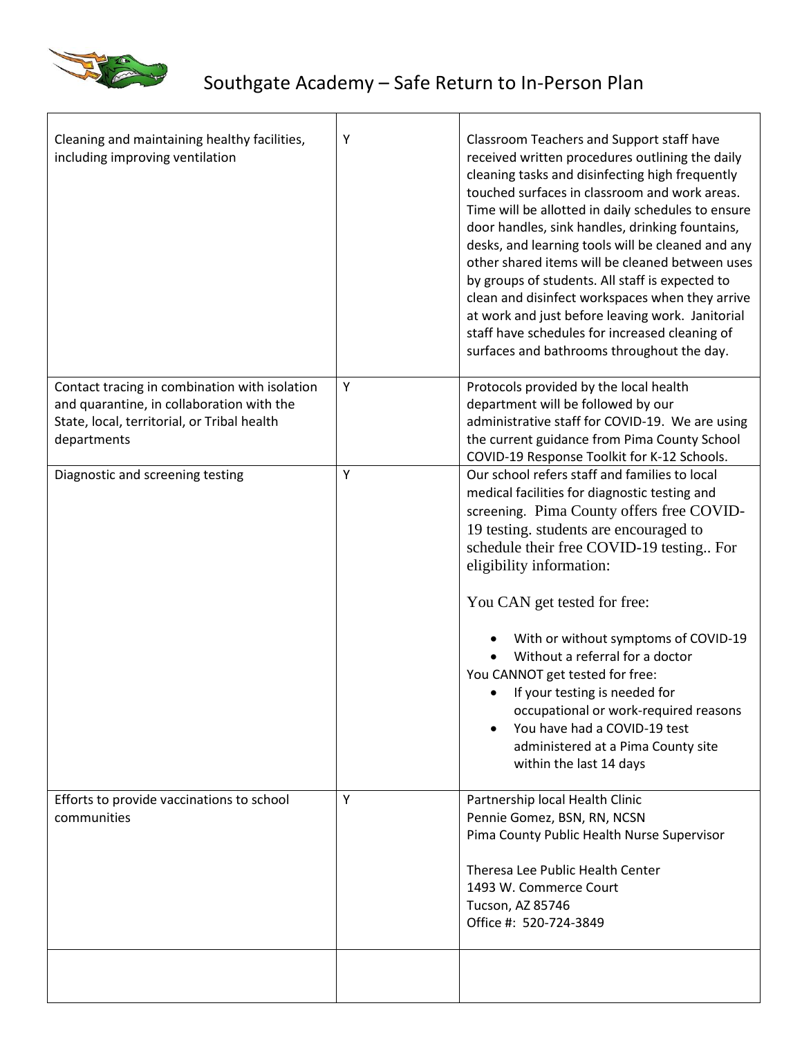

Г

| Cleaning and maintaining healthy facilities,<br>including improving ventilation                                                                          | Υ | Classroom Teachers and Support staff have<br>received written procedures outlining the daily<br>cleaning tasks and disinfecting high frequently<br>touched surfaces in classroom and work areas.<br>Time will be allotted in daily schedules to ensure<br>door handles, sink handles, drinking fountains,<br>desks, and learning tools will be cleaned and any<br>other shared items will be cleaned between uses<br>by groups of students. All staff is expected to<br>clean and disinfect workspaces when they arrive<br>at work and just before leaving work. Janitorial<br>staff have schedules for increased cleaning of<br>surfaces and bathrooms throughout the day. |
|----------------------------------------------------------------------------------------------------------------------------------------------------------|---|-----------------------------------------------------------------------------------------------------------------------------------------------------------------------------------------------------------------------------------------------------------------------------------------------------------------------------------------------------------------------------------------------------------------------------------------------------------------------------------------------------------------------------------------------------------------------------------------------------------------------------------------------------------------------------|
| Contact tracing in combination with isolation<br>and quarantine, in collaboration with the<br>State, local, territorial, or Tribal health<br>departments | Υ | Protocols provided by the local health<br>department will be followed by our<br>administrative staff for COVID-19. We are using<br>the current guidance from Pima County School<br>COVID-19 Response Toolkit for K-12 Schools.                                                                                                                                                                                                                                                                                                                                                                                                                                              |
| Diagnostic and screening testing                                                                                                                         | Υ | Our school refers staff and families to local<br>medical facilities for diagnostic testing and<br>screening. Pima County offers free COVID-<br>19 testing. students are encouraged to<br>schedule their free COVID-19 testing For<br>eligibility information:<br>You CAN get tested for free:<br>With or without symptoms of COVID-19<br>Without a referral for a doctor<br>You CANNOT get tested for free:<br>If your testing is needed for<br>occupational or work-required reasons<br>You have had a COVID-19 test<br>administered at a Pima County site<br>within the last 14 days                                                                                      |
| Efforts to provide vaccinations to school<br>communities                                                                                                 | Υ | Partnership local Health Clinic<br>Pennie Gomez, BSN, RN, NCSN<br>Pima County Public Health Nurse Supervisor<br>Theresa Lee Public Health Center<br>1493 W. Commerce Court<br>Tucson, AZ 85746<br>Office #: 520-724-3849                                                                                                                                                                                                                                                                                                                                                                                                                                                    |
|                                                                                                                                                          |   |                                                                                                                                                                                                                                                                                                                                                                                                                                                                                                                                                                                                                                                                             |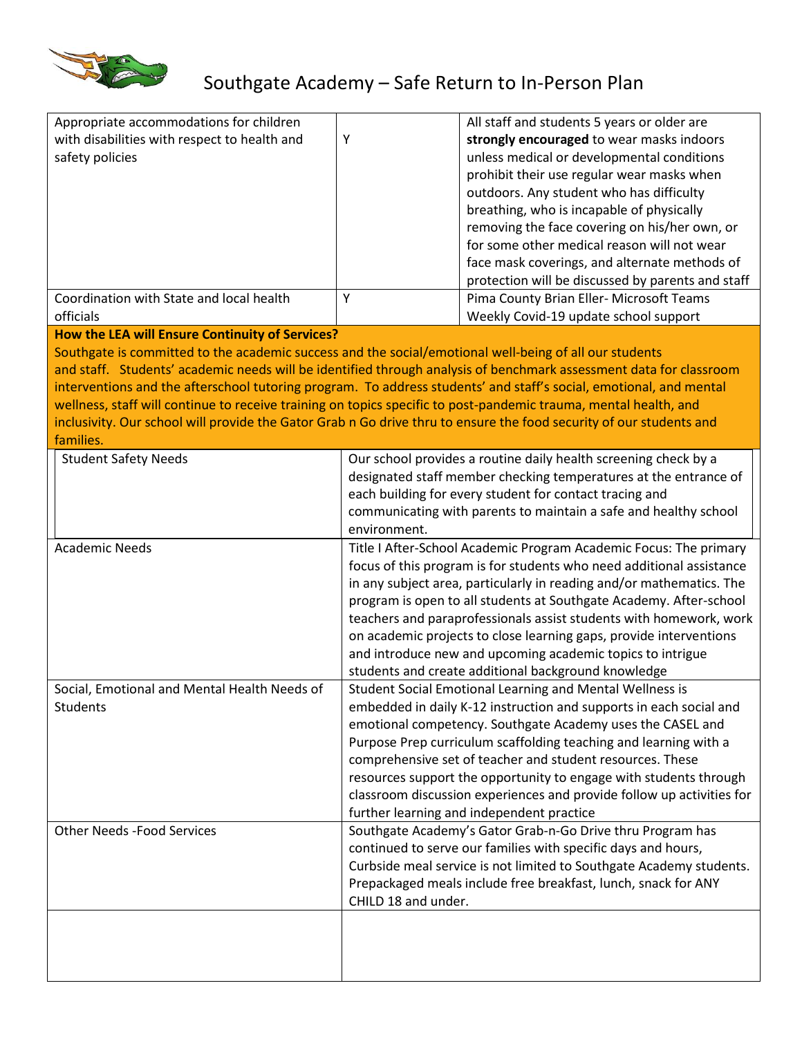

## Southgate Academy – Safe Return to In-Person Plan

| Appropriate accommodations for children<br>with disabilities with respect to health and | Υ            | All staff and students 5 years or older are<br>strongly encouraged to wear masks indoors     |
|-----------------------------------------------------------------------------------------|--------------|----------------------------------------------------------------------------------------------|
| safety policies                                                                         |              | unless medical or developmental conditions<br>prohibit their use regular wear masks when     |
|                                                                                         |              | outdoors. Any student who has difficulty                                                     |
|                                                                                         |              | breathing, who is incapable of physically                                                    |
|                                                                                         |              | removing the face covering on his/her own, or<br>for some other medical reason will not wear |
|                                                                                         |              | face mask coverings, and alternate methods of                                                |
|                                                                                         |              | protection will be discussed by parents and staff                                            |
| Coordination with State and local health                                                | $\checkmark$ | Pima County Brian Eller- Microsoft Teams                                                     |
| officials                                                                               |              | Weekly Covid-19 update school support                                                        |

## **How the LEA will Ensure Continuity of Services?**

Southgate is committed to the academic success and the social/emotional well-being of all our students and staff. Students' academic needs will be identified through analysis of benchmark assessment data for classroom interventions and the afterschool tutoring program. To address students' and staff's social, emotional, and mental wellness, staff will continue to receive training on topics specific to post-pandemic trauma, mental health, and inclusivity. Our school will provide the Gator Grab n Go drive thru to ensure the food security of our students and families.

| <b>Student Safety Needs</b>                                     | Our school provides a routine daily health screening check by a<br>designated staff member checking temperatures at the entrance of<br>each building for every student for contact tracing and<br>communicating with parents to maintain a safe and healthy school<br>environment.                                                                                                                                                                                                                                                                       |
|-----------------------------------------------------------------|----------------------------------------------------------------------------------------------------------------------------------------------------------------------------------------------------------------------------------------------------------------------------------------------------------------------------------------------------------------------------------------------------------------------------------------------------------------------------------------------------------------------------------------------------------|
| <b>Academic Needs</b>                                           | Title I After-School Academic Program Academic Focus: The primary<br>focus of this program is for students who need additional assistance<br>in any subject area, particularly in reading and/or mathematics. The<br>program is open to all students at Southgate Academy. After-school<br>teachers and paraprofessionals assist students with homework, work<br>on academic projects to close learning gaps, provide interventions<br>and introduce new and upcoming academic topics to intrigue<br>students and create additional background knowledge |
| Social, Emotional and Mental Health Needs of<br><b>Students</b> | Student Social Emotional Learning and Mental Wellness is<br>embedded in daily K-12 instruction and supports in each social and<br>emotional competency. Southgate Academy uses the CASEL and<br>Purpose Prep curriculum scaffolding teaching and learning with a<br>comprehensive set of teacher and student resources. These<br>resources support the opportunity to engage with students through<br>classroom discussion experiences and provide follow up activities for<br>further learning and independent practice                                 |
| <b>Other Needs -Food Services</b>                               | Southgate Academy's Gator Grab-n-Go Drive thru Program has<br>continued to serve our families with specific days and hours,<br>Curbside meal service is not limited to Southgate Academy students.<br>Prepackaged meals include free breakfast, lunch, snack for ANY<br>CHILD 18 and under.                                                                                                                                                                                                                                                              |
|                                                                 |                                                                                                                                                                                                                                                                                                                                                                                                                                                                                                                                                          |